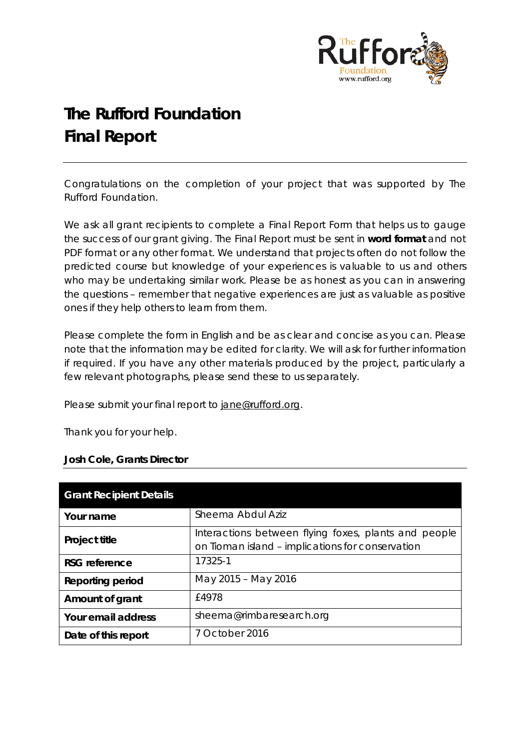

# **The Rufford Foundation Final Report**

Congratulations on the completion of your project that was supported by The Rufford Foundation.

We ask all grant recipients to complete a Final Report Form that helps us to gauge the success of our grant giving. The Final Report must be sent in **word format** and not PDF format or any other format. We understand that projects often do not follow the predicted course but knowledge of your experiences is valuable to us and others who may be undertaking similar work. Please be as honest as you can in answering the questions – remember that negative experiences are just as valuable as positive ones if they help others to learn from them.

Please complete the form in English and be as clear and concise as you can. Please note that the information may be edited for clarity. We will ask for further information if required. If you have any other materials produced by the project, particularly a few relevant photographs, please send these to us separately.

Please submit your final report to [jane@rufford.org.](mailto:jane@rufford.org)

Thank you for your help.

#### **Josh Cole, Grants Director**

| <b>Grant Recipient Details</b> |                                                                                                          |
|--------------------------------|----------------------------------------------------------------------------------------------------------|
| Your name                      | Sheema Abdul Aziz                                                                                        |
| Project title                  | Interactions between flying foxes, plants and people<br>on Tioman island - implications for conservation |
| RSG reference                  | 17325-1                                                                                                  |
| <b>Reporting period</b>        | May 2015 - May 2016                                                                                      |
| Amount of grant                | f4978                                                                                                    |
| Your email address             | sheema@rimbaresearch.org                                                                                 |
| Date of this report            | 7 October 2016                                                                                           |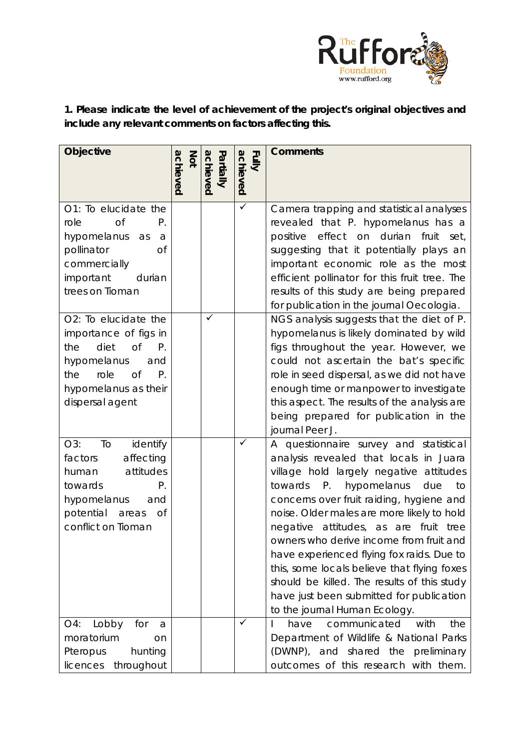

**1. Please indicate the level of achievement of the project's original objectives and include any relevant comments on factors affecting this.** 

| <b>Objective</b>                                                                                                                                                                            | Not<br>achieved | achieved<br>Partially | Fully<br>achieved       | <b>Comments</b>                                                                                                                                                                                                                                                                                                                                                                                                                                                                                                                                                                         |
|---------------------------------------------------------------------------------------------------------------------------------------------------------------------------------------------|-----------------|-----------------------|-------------------------|-----------------------------------------------------------------------------------------------------------------------------------------------------------------------------------------------------------------------------------------------------------------------------------------------------------------------------------------------------------------------------------------------------------------------------------------------------------------------------------------------------------------------------------------------------------------------------------------|
|                                                                                                                                                                                             |                 |                       |                         |                                                                                                                                                                                                                                                                                                                                                                                                                                                                                                                                                                                         |
| O1: To elucidate the<br>role<br><b>of</b><br>Р.<br>hypomelanus<br>as<br>a<br><b>of</b><br>pollinator<br>commercially<br>important<br>durian<br>trees on Tioman                              |                 |                       | $\overline{\checkmark}$ | Camera trapping and statistical analyses<br>revealed that P. hypomelanus has a<br>positive effect on durian<br>fruit<br>set,<br>suggesting that it potentially plays an<br>important economic role as the most<br>efficient pollinator for this fruit tree. The<br>results of this study are being prepared<br>for publication in the journal Oecologia.                                                                                                                                                                                                                                |
| O2: To elucidate the<br>importance of figs in<br>diet<br><b>of</b><br>the<br>Р.<br>hypomelanus<br>and<br>role<br>$P_{\cdot}$<br>the<br><b>of</b><br>hypomelanus as their<br>dispersal agent |                 | ✓                     |                         | NGS analysis suggests that the diet of P.<br>hypomelanus is likely dominated by wild<br>figs throughout the year. However, we<br>could not ascertain the bat's specific<br>role in seed dispersal, as we did not have<br>enough time or manpower to investigate<br>this aspect. The results of the analysis are<br>being prepared for publication in the<br>journal Peer J.                                                                                                                                                                                                             |
| O3:<br>To<br>identify<br>affecting<br>factors<br>attitudes<br>human<br>towards<br>Р.<br>hypomelanus<br>and<br>potential<br><b>of</b><br>areas<br>conflict on Tioman                         |                 |                       | ✓                       | A questionnaire survey and statistical<br>analysis revealed that locals in Juara<br>village hold largely negative attitudes<br>$P_{\cdot}$<br>hypomelanus<br>towards<br>due<br>to<br>concerns over fruit raiding, hygiene and<br>noise. Older males are more likely to hold<br>negative attitudes, as are fruit tree<br>owners who derive income from fruit and<br>have experienced flying fox raids. Due to<br>this, some locals believe that flying foxes<br>should be killed. The results of this study<br>have just been submitted for publication<br>to the journal Human Ecology. |
| Lobby<br>O4:<br>for<br>a<br>moratorium<br>on<br>Pteropus<br>hunting<br>throughout<br>licences                                                                                               |                 |                       | ✓                       | with<br>the<br>communicated<br>have<br>Department of Wildlife & National Parks<br>(DWNP), and shared the<br>preliminary<br>outcomes of this research with them.                                                                                                                                                                                                                                                                                                                                                                                                                         |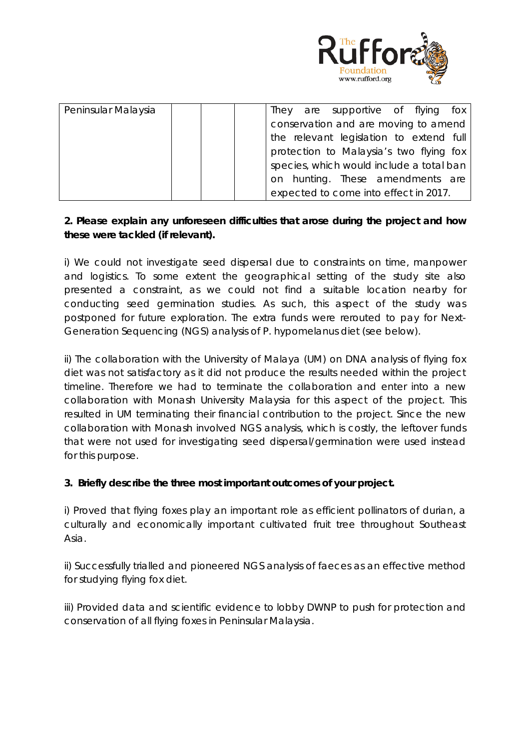

| Peninsular Malaysia |  |  | They                                     | are supportive of flying fox            |  |  |
|---------------------|--|--|------------------------------------------|-----------------------------------------|--|--|
|                     |  |  |                                          | conservation and are moving to amend    |  |  |
|                     |  |  |                                          | the relevant legislation to extend full |  |  |
|                     |  |  |                                          | protection to Malaysia's two flying fox |  |  |
|                     |  |  | species, which would include a total ban |                                         |  |  |
|                     |  |  |                                          | on hunting. These amendments are        |  |  |
|                     |  |  |                                          | expected to come into effect in 2017.   |  |  |

## **2. Please explain any unforeseen difficulties that arose during the project and how these were tackled (if relevant).**

i) We could not investigate seed dispersal due to constraints on time, manpower and logistics. To some extent the geographical setting of the study site also presented a constraint, as we could not find a suitable location nearby for conducting seed germination studies. As such, this aspect of the study was postponed for future exploration. The extra funds were rerouted to pay for Next-Generation Sequencing (NGS) analysis of *P. hypomelanus* diet (see below).

ii) The collaboration with the University of Malaya (UM) on DNA analysis of flying fox diet was not satisfactory as it did not produce the results needed within the project timeline. Therefore we had to terminate the collaboration and enter into a new collaboration with Monash University Malaysia for this aspect of the project. This resulted in UM terminating their financial contribution to the project. Since the new collaboration with Monash involved NGS analysis, which is costly, the leftover funds that were not used for investigating seed dispersal/germination were used instead for this purpose.

### **3. Briefly describe the three most important outcomes of your project.**

i) Proved that flying foxes play an important role as efficient pollinators of durian, a culturally and economically important cultivated fruit tree throughout Southeast Asia.

ii) Successfully trialled and pioneered NGS analysis of faeces as an effective method for studying flying fox diet.

iii) Provided data and scientific evidence to lobby DWNP to push for protection and conservation of all flying foxes in Peninsular Malaysia.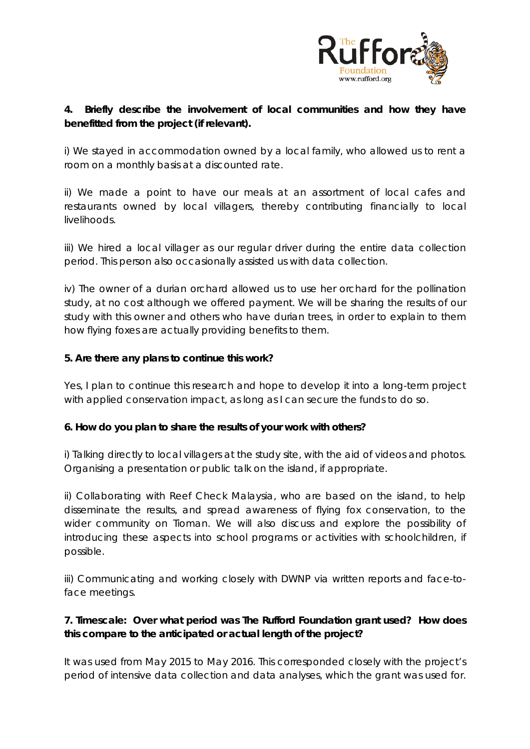

## **4. Briefly describe the involvement of local communities and how they have benefitted from the project (if relevant).**

i) We stayed in accommodation owned by a local family, who allowed us to rent a room on a monthly basis at a discounted rate.

ii) We made a point to have our meals at an assortment of local cafes and restaurants owned by local villagers, thereby contributing financially to local livelihoods.

iii) We hired a local villager as our regular driver during the entire data collection period. This person also occasionally assisted us with data collection.

iv) The owner of a durian orchard allowed us to use her orchard for the pollination study, at no cost although we offered payment. We will be sharing the results of our study with this owner and others who have durian trees, in order to explain to them how flying foxes are actually providing benefits to them.

## **5. Are there any plans to continue this work?**

Yes, I plan to continue this research and hope to develop it into a long-term project with applied conservation impact, as long as I can secure the funds to do so.

### **6. How do you plan to share the results of your work with others?**

i) Talking directly to local villagers at the study site, with the aid of videos and photos. Organising a presentation or public talk on the island, if appropriate.

ii) Collaborating with Reef Check Malaysia, who are based on the island, to help disseminate the results, and spread awareness of flying fox conservation, to the wider community on Tioman. We will also discuss and explore the possibility of introducing these aspects into school programs or activities with schoolchildren, if possible.

iii) Communicating and working closely with DWNP via written reports and face-toface meetings.

## **7. Timescale: Over what period was The Rufford Foundation grant used? How does this compare to the anticipated or actual length of the project?**

It was used from May 2015 to May 2016. This corresponded closely with the project's period of intensive data collection and data analyses, which the grant was used for.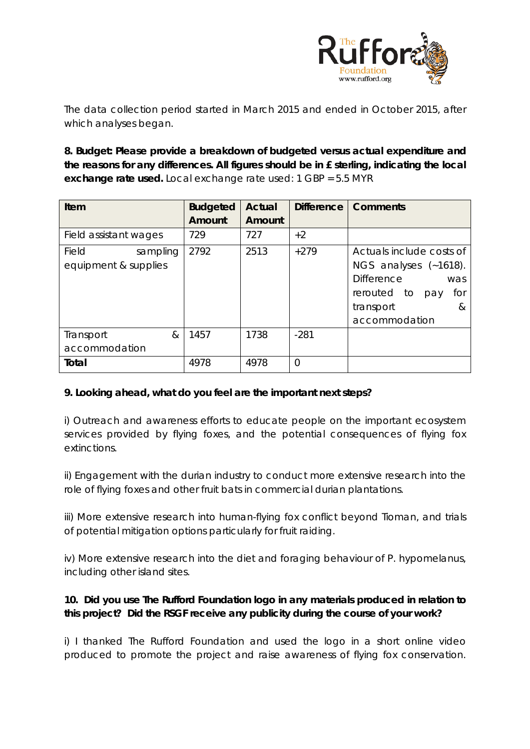

The data collection period started in March 2015 and ended in October 2015, after which analyses began.

**8. Budget: Please provide a breakdown of budgeted versus actual expenditure and the reasons for any differences. All figures should be in £ sterling, indicating the local exchange rate used.** Local exchange rate used: 1 GBP = 5.5 MYR

| Item                  | <b>Budgeted</b> | <b>Actual</b> |        | Difference   Comments     |
|-----------------------|-----------------|---------------|--------|---------------------------|
|                       | Amount          | Amount        |        |                           |
| Field assistant wages | 729             | 727           | $+2$   |                           |
| Field<br>sampling     | 2792            | 2513          | $+279$ | Actuals include costs of  |
| equipment & supplies  |                 |               |        | NGS analyses (~1618).     |
|                       |                 |               |        | <b>Difference</b><br>was  |
|                       |                 |               |        | rerouted to<br>for<br>pay |
|                       |                 |               |        | transport<br>&            |
|                       |                 |               |        | accommodation             |
| &<br>Transport        | 1457            | 1738          | $-281$ |                           |
| accommodation         |                 |               |        |                           |
| Total                 | 4978            | 4978          | 0      |                           |

## **9. Looking ahead, what do you feel are the important next steps?**

i) Outreach and awareness efforts to educate people on the important ecosystem services provided by flying foxes, and the potential consequences of flying fox extinctions.

ii) Engagement with the durian industry to conduct more extensive research into the role of flying foxes and other fruit bats in commercial durian plantations.

iii) More extensive research into human-flying fox conflict beyond Tioman, and trials of potential mitigation options particularly for fruit raiding.

iv) More extensive research into the diet and foraging behaviour of *P. hypomelanus*, including other island sites.

## **10. Did you use The Rufford Foundation logo in any materials produced in relation to this project? Did the RSGF receive any publicity during the course of your work?**

i) I thanked The Rufford Foundation and used the logo in a short online video produced to promote the project and raise awareness of flying fox conservation.